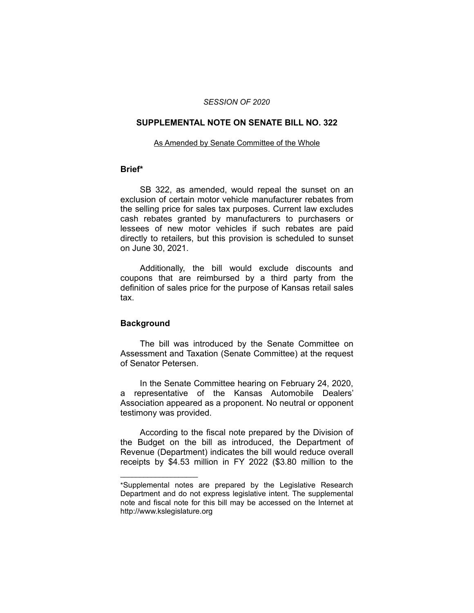### *SESSION OF 2020*

# **SUPPLEMENTAL NOTE ON SENATE BILL NO. 322**

#### As Amended by Senate Committee of the Whole

## **Brief\***

SB 322, as amended, would repeal the sunset on an exclusion of certain motor vehicle manufacturer rebates from the selling price for sales tax purposes. Current law excludes cash rebates granted by manufacturers to purchasers or lessees of new motor vehicles if such rebates are paid directly to retailers, but this provision is scheduled to sunset on June 30, 2021.

Additionally, the bill would exclude discounts and coupons that are reimbursed by a third party from the definition of sales price for the purpose of Kansas retail sales tax.

## **Background**

 $\overline{\phantom{a}}$  , where  $\overline{\phantom{a}}$  , where  $\overline{\phantom{a}}$ 

The bill was introduced by the Senate Committee on Assessment and Taxation (Senate Committee) at the request of Senator Petersen.

In the Senate Committee hearing on February 24, 2020, a representative of the Kansas Automobile Dealers' Association appeared as a proponent. No neutral or opponent testimony was provided.

According to the fiscal note prepared by the Division of the Budget on the bill as introduced, the Department of Revenue (Department) indicates the bill would reduce overall receipts by \$4.53 million in FY 2022 (\$3.80 million to the

<sup>\*</sup>Supplemental notes are prepared by the Legislative Research Department and do not express legislative intent. The supplemental note and fiscal note for this bill may be accessed on the Internet at http://www.kslegislature.org